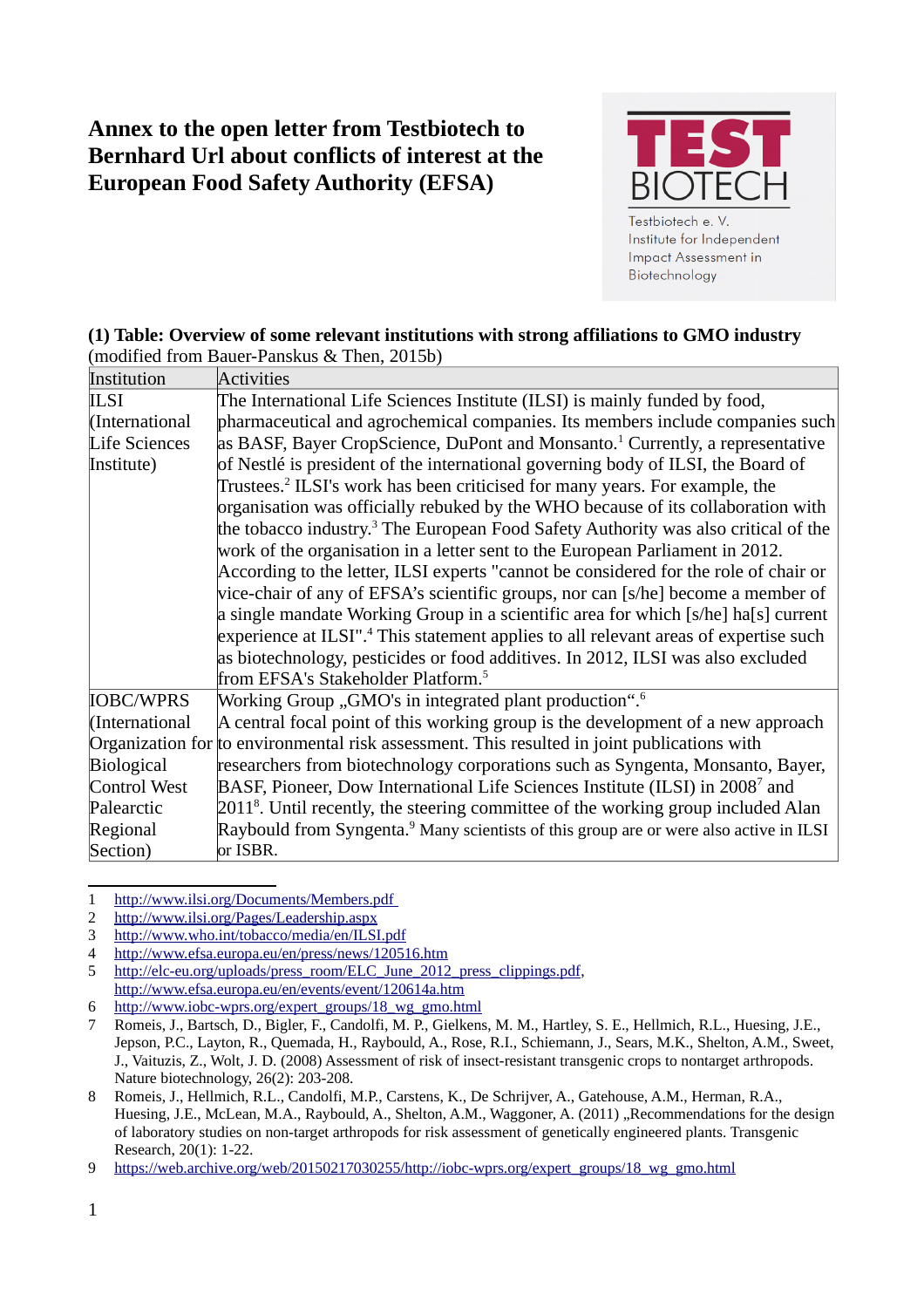# **Annex to the open letter from Testbiotech to Bernhard Url about conflicts of interest at the European Food Safety Authority (EFSA)**



## **(1) Table: Overview of some relevant institutions with strong affiliations to GMO industry**

(modified from Bauer-Panskus & Then, 2015b)

| Institution          | <b>Activities</b>                                                                                  |
|----------------------|----------------------------------------------------------------------------------------------------|
| <b>ILSI</b>          | The International Life Sciences Institute (ILSI) is mainly funded by food,                         |
| (International       | pharmaceutical and agrochemical companies. Its members include companies such                      |
| <b>Life Sciences</b> | as BASF, Bayer CropScience, DuPont and Monsanto. <sup>1</sup> Currently, a representative          |
| Institute)           | of Nestlé is president of the international governing body of ILSI, the Board of                   |
|                      | Trustees. <sup>2</sup> ILSI's work has been criticised for many years. For example, the            |
|                      | organisation was officially rebuked by the WHO because of its collaboration with                   |
|                      | the tobacco industry. <sup>3</sup> The European Food Safety Authority was also critical of the     |
|                      | work of the organisation in a letter sent to the European Parliament in 2012.                      |
|                      | According to the letter, ILSI experts "cannot be considered for the role of chair or               |
|                      | vice-chair of any of EFSA's scientific groups, nor can [s/he] become a member of                   |
|                      | a single mandate Working Group in a scientific area for which [s/he] ha[s] current                 |
|                      | experience at ILSI". <sup>4</sup> This statement applies to all relevant areas of expertise such   |
|                      | as biotechnology, pesticides or food additives. In 2012, ILSI was also excluded                    |
|                      | from EFSA's Stakeholder Platform. <sup>5</sup>                                                     |
| <b>IOBC/WPRS</b>     | Working Group "GMO's in integrated plant production". <sup>6</sup>                                 |
| (International       | A central focal point of this working group is the development of a new approach                   |
|                      | Organization for to environmental risk assessment. This resulted in joint publications with        |
| <b>Biological</b>    | researchers from biotechnology corporations such as Syngenta, Monsanto, Bayer,                     |
| <b>Control West</b>  | BASF, Pioneer, Dow International Life Sciences Institute (ILSI) in 2008 <sup>7</sup> and           |
| Palearctic           | $20118$ . Until recently, the steering committee of the working group included Alan                |
| Regional             | Raybould from Syngenta. <sup>9</sup> Many scientists of this group are or were also active in ILSI |
| Section)             | or ISBR.                                                                                           |

<span id="page-0-0"></span><sup>1</sup><http://www.ilsi.org/Documents/Members.pdf>

<span id="page-0-1"></span><sup>2</sup> <http://www.ilsi.org/Pages/Leadership.aspx>

<span id="page-0-2"></span><sup>3</sup> <http://www.who.int/tobacco/media/en/ILSI.pdf>

<span id="page-0-3"></span><sup>4</sup> <http://www.efsa.europa.eu/en/press/news/120516.htm>

<span id="page-0-4"></span><sup>5</sup> [http://elc-eu.org/uploads/press\\_room/ELC\\_June\\_2012\\_press\\_clippings.pdf,](http://elc-eu.org/uploads/press_room/ELC_June_2012_press_clippings.pdf) <http://www.efsa.europa.eu/en/events/event/120614a.htm>

<span id="page-0-5"></span><sup>6</sup> [http://www.iobc-wprs.org/expert\\_groups/18\\_wg\\_gmo.html](http://www.iobc-wprs.org/expert_groups/18_wg_gmo.html)

<span id="page-0-6"></span><sup>7</sup> Romeis, J., Bartsch, D., Bigler, F., Candolfi, M. P., Gielkens, M. M., Hartley, S. E., Hellmich, R.L., Huesing, J.E., Jepson, P.C., Layton, R., Quemada, H., Raybould, A., Rose, R.I., Schiemann, J., Sears, M.K., Shelton, A.M., Sweet, J., Vaituzis, Z., Wolt, J. D. (2008) Assessment of risk of insect-resistant transgenic crops to nontarget arthropods. Nature biotechnology, 26(2): 203-208.

<span id="page-0-7"></span><sup>8</sup> Romeis, J., Hellmich, R.L., Candolfi, M.P., Carstens, K., De Schrijver, A., Gatehouse, A.M., Herman, R.A., Huesing, J.E., McLean, M.A., Raybould, A., Shelton, A.M., Waggoner, A. (2011) "Recommendations for the design of laboratory studies on non-target arthropods for risk assessment of genetically engineered plants. Transgenic Research, 20(1): 1-22.

<span id="page-0-8"></span><sup>9</sup> [https://web.archive.org/web/20150217030255/http://iobc-wprs.org/expert\\_groups/18\\_wg\\_gmo.html](https://web.archive.org/web/20150217030255/http://iobc-wprs.org/expert_groups/18_wg_gmo.html)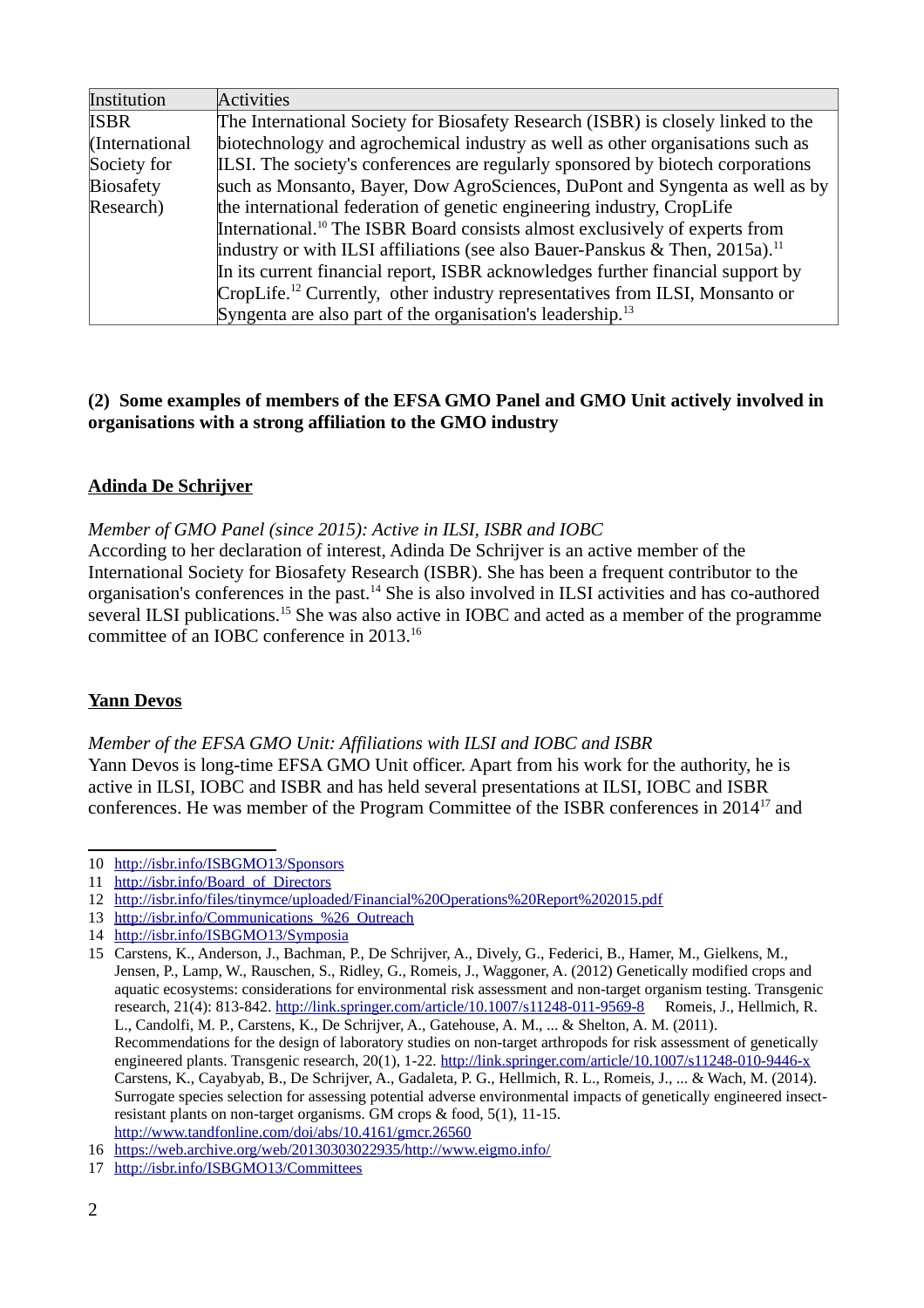| Institution      | <b>Activities</b>                                                                        |
|------------------|------------------------------------------------------------------------------------------|
| <b>ISBR</b>      | The International Society for Biosafety Research (ISBR) is closely linked to the         |
| (International   | biotechnology and agrochemical industry as well as other organisations such as           |
| Society for      | ILSI. The society's conferences are regularly sponsored by biotech corporations          |
| <b>Biosafety</b> | such as Monsanto, Bayer, Dow AgroSciences, DuPont and Syngenta as well as by             |
| Research)        | the international federation of genetic engineering industry, CropLife                   |
|                  | International. <sup>10</sup> The ISBR Board consists almost exclusively of experts from  |
|                  | industry or with ILSI affiliations (see also Bauer-Panskus & Then, 2015a). <sup>11</sup> |
|                  | In its current financial report, ISBR acknowledges further financial support by          |
|                  | CropLife. <sup>12</sup> Currently, other industry representatives from ILSI, Monsanto or |
|                  | Syngenta are also part of the organisation's leadership. <sup>13</sup>                   |

## **(2) Some examples of members of the EFSA GMO Panel and GMO Unit actively involved in organisations with a strong affiliation to the GMO industry**

## **Adinda De Schrijver**

*Member of GMO Panel (since 2015): Active in ILSI, ISBR and IOBC* 

According to her declaration of interest, Adinda De Schrijver is an active member of the International Society for Biosafety Research (ISBR). She has been a frequent contributor to the organisation's conferences in the past.[14](#page-1-4) She is also involved in ILSI activities and has co-authored several ILSI publications.<sup>[15](#page-1-5)</sup> She was also active in IOBC and acted as a member of the programme committee of an IOBC conference in 2013.[16](#page-1-6)

## **Yann Devos**

*Member of the EFSA GMO Unit: Affiliations with ILSI and IOBC and ISBR* Yann Devos is long-time EFSA GMO Unit officer. Apart from his work for the authority, he is active in ILSI, IOBC and ISBR and has held several presentations at ILSI, IOBC and ISBR conferences. He was member of the Program Committee of the ISBR conferences in 2014[17](#page-1-7) and

<span id="page-1-4"></span>14 <http://isbr.info/ISBGMO13/Symposia>

<span id="page-1-0"></span><sup>10</sup> <http://isbr.info/ISBGMO13/Sponsors>

<span id="page-1-1"></span><sup>11</sup> http://isbr.info/Board of Directors

<span id="page-1-2"></span><sup>12</sup> <http://isbr.info/files/tinymce/uploaded/Financial%20Operations%20Report%202015.pdf>

<span id="page-1-3"></span><sup>13</sup> [http://isbr.info/Communications\\_%26\\_Outreach](http://isbr.info/Communications_%26_Outreach)

<span id="page-1-5"></span><sup>15</sup> Carstens, K., Anderson, J., Bachman, P., De Schrijver, A., Dively, G., Federici, B., Hamer, M., Gielkens, M., Jensen, P., Lamp, W., Rauschen, S., Ridley, G., Romeis, J., Waggoner, A. (2012) Genetically modified crops and aquatic ecosystems: considerations for environmental risk assessment and non-target organism testing. Transgenic research, 21(4): 813-842.<http://link.springer.com/article/10.1007/s11248-011-9569-8> Romeis, J., Hellmich, R. L., Candolfi, M. P., Carstens, K., De Schrijver, A., Gatehouse, A. M., ... & Shelton, A. M. (2011). Recommendations for the design of laboratory studies on non-target arthropods for risk assessment of genetically engineered plants. Transgenic research, 20(1), 1-22.<http://link.springer.com/article/10.1007/s11248-010-9446-x> Carstens, K., Cayabyab, B., De Schrijver, A., Gadaleta, P. G., Hellmich, R. L., Romeis, J., ... & Wach, M. (2014). Surrogate species selection for assessing potential adverse environmental impacts of genetically engineered insectresistant plants on non-target organisms. GM crops & food, 5(1), 11-15. <http://www.tandfonline.com/doi/abs/10.4161/gmcr.26560>

<span id="page-1-6"></span><sup>16</sup> <https://web.archive.org/web/20130303022935/http://www.eigmo.info/>

<span id="page-1-7"></span><sup>17</sup> <http://isbr.info/ISBGMO13/Committees>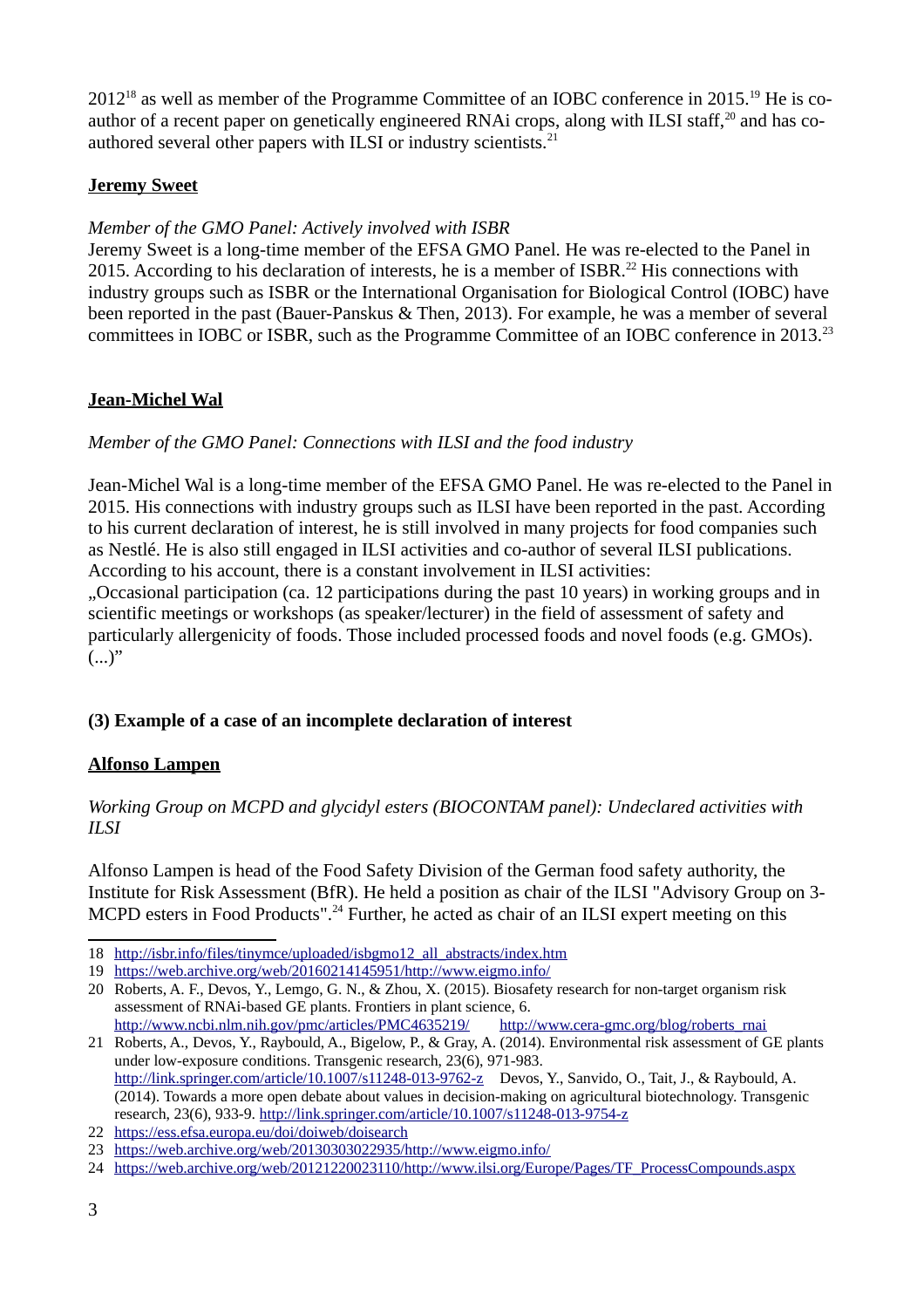2012<sup>[18](#page-2-0)</sup> as well as member of the Programme Committee of an IOBC conference in 2015.<sup>[19](#page-2-1)</sup> He is co-author of a recent paper on genetically engineered RNAi crops, along with ILSI staff,<sup>[20](#page-2-2)</sup> and has co-authored several other papers with ILSI or industry scientists.<sup>[21](#page-2-3)</sup>

#### **Jeremy Sweet**

## *Member of the GMO Panel: Actively involved with ISBR*

Jeremy Sweet is a long-time member of the EFSA GMO Panel. He was re-elected to the Panel in 2015. According to his declaration of interests, he is a member of ISBR.<sup>[22](#page-2-4)</sup> His connections with industry groups such as ISBR or the International Organisation for Biological Control (IOBC) have been reported in the past (Bauer-Panskus & Then, 2013). For example, he was a member of several committees in IOBC or ISBR, such as the Programme Committee of an IOBC conference in 2013.<sup>[23](#page-2-5)</sup>

## **Jean-Michel Wal**

## *Member of the GMO Panel: Connections with ILSI and the food industry*

Jean-Michel Wal is a long-time member of the EFSA GMO Panel. He was re-elected to the Panel in 2015. His connections with industry groups such as ILSI have been reported in the past. According to his current declaration of interest, he is still involved in many projects for food companies such as Nestlé. He is also still engaged in ILSI activities and co-author of several ILSI publications. According to his account, there is a constant involvement in ILSI activities:

"Occasional participation (ca. 12 participations during the past 10 years) in working groups and in scientific meetings or workshops (as speaker/lecturer) in the field of assessment of safety and particularly allergenicity of foods. Those included processed foods and novel foods (e.g. GMOs).  $(...)$ "

## **(3) Example of a case of an incomplete declaration of interest**

## **Alfonso Lampen**

## *Working Group on MCPD and glycidyl esters (BIOCONTAM panel): Undeclared activities with ILSI*

Alfonso Lampen is head of the Food Safety Division of the German food safety authority, the Institute for Risk Assessment (BfR). He held a position as chair of the ILSI "Advisory Group on 3- MCPD esters in Food Products".<sup>[24](#page-2-6)</sup> Further, he acted as chair of an ILSI expert meeting on this

<span id="page-2-3"></span><http://www.ncbi.nlm.nih.gov/pmc/articles/PMC4635219/> [http://www.cera-gmc.org/blog/roberts\\_rnai](http://www.cera-gmc.org/blog/roberts_rnai) 21 Roberts, A., Devos, Y., Raybould, A., Bigelow, P., & Gray, A. (2014). Environmental risk assessment of GE plants under low-exposure conditions. Transgenic research, 23(6), 971-983. <http://link.springer.com/article/10.1007/s11248-013-9762-z> Devos, Y., Sanvido, O., Tait, J., & Raybould, A. (2014). Towards a more open debate about values in decision-making on agricultural biotechnology. Transgenic research, 23(6), 933-9.<http://link.springer.com/article/10.1007/s11248-013-9754-z>

<span id="page-2-0"></span><sup>18</sup> [http://isbr.info/files/tinymce/uploaded/isbgmo12\\_all\\_abstracts/index.htm](http://isbr.info/files/tinymce/uploaded/isbgmo12_all_abstracts/index.htm)

<span id="page-2-1"></span><sup>19</sup> <https://web.archive.org/web/20160214145951/http://www.eigmo.info/>

<span id="page-2-2"></span><sup>20</sup> Roberts, A. F., Devos, Y., Lemgo, G. N., & Zhou, X. (2015). Biosafety research for non-target organism risk assessment of RNAi-based GE plants. Frontiers in plant science, 6.

<span id="page-2-4"></span><sup>22</sup> <https://ess.efsa.europa.eu/doi/doiweb/doisearch>

<span id="page-2-5"></span><sup>23</sup> <https://web.archive.org/web/20130303022935/http://www.eigmo.info/>

<span id="page-2-6"></span><sup>24</sup> [https://web.archive.org/web/20121220023110/http://www.ilsi.org/Europe/Pages/TF\\_ProcessCompounds.aspx](https://web.archive.org/web/20121220023110/http://www.ilsi.org/Europe/Pages/TF_ProcessCompounds.aspx)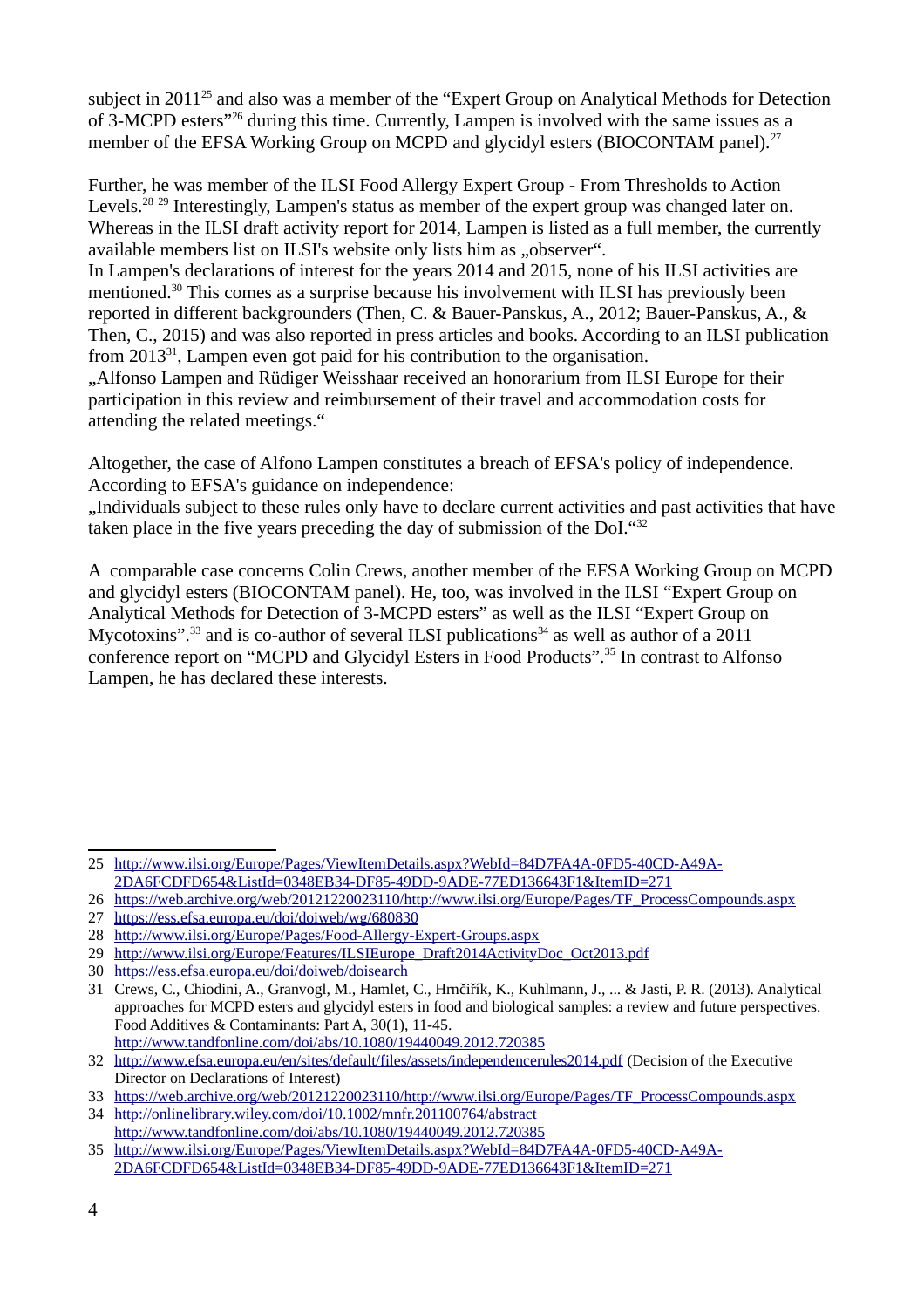subject in 2011<sup>[25](#page-3-0)</sup> and also was a member of the "Expert Group on Analytical Methods for Detection of 3-MCPD esters"[26](#page-3-1) during this time. Currently, Lampen is involved with the same issues as a member of the EFSA Working Group on MCPD and glycidyl esters (BIOCONTAM panel).<sup>[27](#page-3-2)</sup>

Further, he was member of the ILSI Food Allergy Expert Group - From Thresholds to Action Levels.<sup>[28](#page-3-3) [29](#page-3-4)</sup> Interestingly, Lampen's status as member of the expert group was changed later on. Whereas in the ILSI draft activity report for 2014, Lampen is listed as a full member, the currently available members list on ILSI's website only lists him as "observer".

In Lampen's declarations of interest for the years 2014 and 2015, none of his ILSI activities are mentioned.<sup>[30](#page-3-5)</sup> This comes as a surprise because his involvement with ILSI has previously been reported in different backgrounders (Then, C. & Bauer-Panskus, A., 2012; Bauer-Panskus, A., & Then, C., 2015) and was also reported in press articles and books. According to an ILSI publication from 2013<sup>[31](#page-3-6)</sup>, Lampen even got paid for his contribution to the organisation.

..Alfonso Lampen and Rüdiger Weisshaar received an honorarium from ILSI Europe for their participation in this review and reimbursement of their travel and accommodation costs for attending the related meetings."

Altogether, the case of Alfono Lampen constitutes a breach of EFSA's policy of independence. According to EFSA's guidance on independence:

"Individuals subject to these rules only have to declare current activities and past activities that have taken place in the five years preceding the day of submission of the DoI."[32](#page-3-7)

A comparable case concerns Colin Crews, another member of the EFSA Working Group on MCPD and glycidyl esters (BIOCONTAM panel). He, too, was involved in the ILSI "Expert Group on Analytical Methods for Detection of 3-MCPD esters" as well as the ILSI "Expert Group on Mycotoxins".<sup>[33](#page-3-8)</sup> and is co-author of several ILSI publications<sup>[34](#page-3-9)</sup> as well as author of a 2011 conference report on "MCPD and Glycidyl Esters in Food Products".[35](#page-3-10) In contrast to Alfonso Lampen, he has declared these interests.

<span id="page-3-0"></span><sup>25</sup> [http://www.ilsi.org/Europe/Pages/ViewItemDetails.aspx?WebId=84D7FA4A-0FD5-40CD-A49A-](http://www.ilsi.org/Europe/Pages/ViewItemDetails.aspx?WebId=84D7FA4A-0FD5-40CD-A49A-2DA6FCDFD654&ListId=0348EB34-DF85-49DD-9ADE-77ED136643F1&ItemID=271)[2DA6FCDFD654&ListId=0348EB34-DF85-49DD-9ADE-77ED136643F1&ItemID=271](http://www.ilsi.org/Europe/Pages/ViewItemDetails.aspx?WebId=84D7FA4A-0FD5-40CD-A49A-2DA6FCDFD654&ListId=0348EB34-DF85-49DD-9ADE-77ED136643F1&ItemID=271)

<span id="page-3-1"></span><sup>26</sup> [https://web.archive.org/web/20121220023110/http://www.ilsi.org/Europe/Pages/TF\\_ProcessCompounds.aspx](https://web.archive.org/web/20121220023110/http://www.ilsi.org/Europe/Pages/TF_ProcessCompounds.aspx)

<span id="page-3-2"></span><sup>27</sup> <https://ess.efsa.europa.eu/doi/doiweb/wg/680830>

<span id="page-3-3"></span><sup>28</sup> <http://www.ilsi.org/Europe/Pages/Food-Allergy-Expert-Groups.aspx>

<span id="page-3-4"></span><sup>29</sup> [http://www.ilsi.org/Europe/Features/ILSIEurope\\_Draft2014ActivityDoc\\_Oct2013.pdf](http://www.ilsi.org/Europe/Features/ILSIEurope_Draft2014ActivityDoc_Oct2013.pdf)

<span id="page-3-5"></span><sup>30</sup> <https://ess.efsa.europa.eu/doi/doiweb/doisearch>

<span id="page-3-6"></span><sup>31</sup> Crews, C., Chiodini, A., Granvogl, M., Hamlet, C., Hrnčiřík, K., Kuhlmann, J., ... & Jasti, P. R. (2013). Analytical approaches for MCPD esters and glycidyl esters in food and biological samples: a review and future perspectives. Food Additives & Contaminants: Part A, 30(1), 11-45. <http://www.tandfonline.com/doi/abs/10.1080/19440049.2012.720385>

<span id="page-3-7"></span><sup>32</sup> <http://www.efsa.europa.eu/en/sites/default/files/assets/independencerules2014.pdf>(Decision of the Executive Director on Declarations of Interest)

<span id="page-3-8"></span><sup>33</sup> [https://web.archive.org/web/20121220023110/http://www.ilsi.org/Europe/Pages/TF\\_ProcessCompounds.aspx](https://web.archive.org/web/20121220023110/http://www.ilsi.org/Europe/Pages/TF_ProcessCompounds.aspx)

<span id="page-3-9"></span><sup>34</sup> <http://onlinelibrary.wiley.com/doi/10.1002/mnfr.201100764/abstract> <http://www.tandfonline.com/doi/abs/10.1080/19440049.2012.720385>

<span id="page-3-10"></span><sup>35</sup> [http://www.ilsi.org/Europe/Pages/ViewItemDetails.aspx?WebId=84D7FA4A-0FD5-40CD-A49A-](http://www.ilsi.org/Europe/Pages/ViewItemDetails.aspx?WebId=84D7FA4A-0FD5-40CD-A49A-2DA6FCDFD654&ListId=0348EB34-DF85-49DD-9ADE-77ED136643F1&ItemID=271)[2DA6FCDFD654&ListId=0348EB34-DF85-49DD-9ADE-77ED136643F1&ItemID=271](http://www.ilsi.org/Europe/Pages/ViewItemDetails.aspx?WebId=84D7FA4A-0FD5-40CD-A49A-2DA6FCDFD654&ListId=0348EB34-DF85-49DD-9ADE-77ED136643F1&ItemID=271)